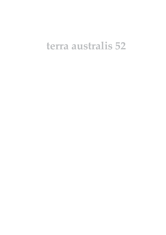# terra australis 52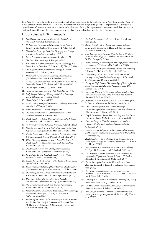Terra Australis reports the results of archaeological and related research within the south and east of Asia, though mainly Australia, New Guinea and Island Melanesia — lands that remained terra australis incognita to generations of prehistorians. Its subject is the settlement of the diverse environments in this isolated quarter of the globe by peoples who have maintained their discrete and traditional ways of life into the recent recorded or remembered past and at times into the observable present.

#### List of volumes in Terra Australis

- 1. *Burrill Lake and Currarong: Coastal Sites in Southern New South Wales*. R.J. Lampert (1971)
- 2. *Ol Tumbuna: Archaeological Excavations in the Eastern Central Highlands, Papua New Guinea*. J.P. White (1972)
- 3. *New Guinea Stone Age Trade: The Geography and Ecology of Traffic in the Interior*. I. Hughes (1977)
- 4. *Recent Prehistory in Southeast Papua*. B. Egloff (1979)
- 5. *The Great Kartan Mystery*. R. Lampert (1981)
- 6. *Early Man in North Queensland: Art and Archaeology in the Laura Area*. A. Rosenfeld, D. Horton and J. Winter (1981)
- 7. *The Alligator Rivers: Prehistory and Ecology in Western Arnhem Land*. C. Schrire (1982)
- 8. *Hunter Hill, Hunter Island: Archaeological Investigations of a Prehistoric Tasmanian Site*. S. Bowdler (1984)
- 9. *Coastal South-West Tasmania: The Prehistory of Louisa Bay and Maatsuyker Island*. R. Vanderwal and D. Horton (1984)
- 10. *The Emergence of Mailu*. G. Irwin (1985)
- 11. *Archaeology in Eastern Timor, 1966–67*. I. Glover (1986)
- 12. *Early Tongan Prehistory: The Lapita Period on Tongatapu and its Relationships*. J. Poulsen (1987)
- 13. *Coobool Creek*. P. Brown (1989)
- 14. *30,000 Years of Aboriginal Occupation: Kimberley, North-West Australia*. S. O'Connor (1999)
- 15. *Lapita Interaction*. G. Summerhayes (2000)
- 16. *The Prehistory of Buka: A Stepping Stone Island in the Northern Solomons*. S. Wickler (2001)
- 17. *The Archaeology of Lapita Dispersal in Oceania*. G.R. Clark, A.J. Anderson and T. Vunidilo (2001)
- 18. *An Archaeology of West Polynesian Prehistory*. A. Smith (2002)
- 19. *Phytolith and Starch Research in the Australian-Pacific-Asian Regions: The State of the Art*. D. Hart and L. Wallis (2003)
- 20. *The Sea People: Late-Holocene Maritime Specialisation in the Whitsunday Islands, Central Queensland*. B. Barker (2004)
- 21. *What's Changing: Population Size or Land-Use Patterns? The Archaeology of Upper Mangrove Creek, Sydney Basin*. V. Attenbrow (2004)
- 22. *The Archaeology of the Aru Islands, Eastern Indonesia*. S. O'Connor, M. Spriggs and P. Veth (eds) (2005)
- 23. *Pieces of the Vanuatu Puzzle: Archaeology of the North, South and Centre*. S. Bedford (2006)
- 24. *Coastal Themes: An Archaeology of the Southern Curtis Coast, Queensland*. S. Ulm (2006)
- 25. *Lithics in the Land of the Lightning Brothers: The Archaeology of Wardaman Country, Northern Territory*. C. Clarkson (2007)
- 26. *Oceanic Explorations: Lapita and Western Pacific Settlement*. S. Bedford, C. Sand and S. P. Connaughton (eds) (2007)
- 27. *Dreamtime Superhighway: Sydney Basin Rock Art and Prehistoric Information Exchange*. J. McDonald (2008)
- 28. *New Directions in Archaeological Science*. A. Fairbairn, S. O'Connor and B. Marwick (eds) (2008)
- 29. *Islands of Inquiry: Colonisation, Seafaring and the Archaeology of Maritime Landscapes*. G. Clark, F. Leach and S. O'Connor (eds) (2008)
- 30. *Archaeological Science Under a Microscope: Studies in Residue and Ancient DNA Analysis in Honour of Thomas H. Loy*. M. Haslam, G. Robertson, A. Crowther, S. Nugent and L. Kirkwood (eds) (2009)
- 31. *The Early Prehistory of Fiji*. G. Clark and A. Anderson (eds) (2009)
- 32. *Altered Ecologies: Fire, Climate and Human Influence on Terrestrial Landscapes*. S. Haberle, J. Stevenson and M. Prebble (eds) (2010)
- 33. *Man Bac: The Excavation of a Neolithic Site in Northern Vietnam: The Biology*. M. Oxenham, H. Matsumura and N. Kim Dung (eds) (2011)
- 34. *Peopled Landscapes: Archaeological and Biogeographic Approaches to Landscapes*. S. Haberle and B. David (eds) (2012)
- 35. *Pacific Island Heritage: Archaeology, Identity & Community*. J. Liston, G. Clark and D. Alexander (eds) (2011)
- 36. *Transcending the Culture–Nature Divide in Cultural Heritage: Views from the Asia-Pacific region*. S. Brockwell, S. O'Connor and D. Byrne (eds) (2013)
- 37. *Taking the High Ground: The archaeology of Rapa, a fortified island in remote East Polynesia*. A. Anderson and D.J. Kennett (eds) (2012)
- 38. *Life on the Margins: An Archaeological Investigation of Late Holocene Economic Variability, Blue Mud Bay, Northern Australia*. P. Faulkner (2013)
- 39. *Prehistoric Marine Resource Use in the Indo-Pacific Regions*. R. Ono, A. Morrison and D. Addison (eds) (2013)
- 40. *4000 Years of Migration and Cultural Exchange: The Archaeology of the Batanes Islands, Northern Philippines*. P. Bellwood and E. Dizon (eds) (2013)
- 41. *Degei's Descendants: Spirits, Place and People in Pre-Cession Fiji*. Aubrey Parke. M. Spriggs and D. Scarr (eds) (2014)
- 42. *Contextualising the Neolithic Occupation of Southern Vietnam: The Role of Ceramics and Potters at An Son*. C. Sarjeant (2014)
- 43. *Journeys into the Rainforest: Archaeology of Culture Change and Continuity on the Evelyn Tableland, North Queensland*. Å. Ferrier (2015)
- 44. *An Archaeology of Early Christianity in Vanuatu: Kastom and Religious Change on Tanna and Erromango, 1839–1920*. J.L. Flexner (2016)
- 45. *New Perspectives in Southeast Asian and Pacific Prehistory*. P.J. Piper, H. Matsumura and D. Bulbeck (eds) (2017)
- 46. *Ten Thousand Years of Cultivation at Kuk Swamp in the Highlands of Papua New Guinea*. J. Golson, T. Denham, P. Hughes, P. Swadling and J. Muke (eds) (2017)
- 47. *The Archaeology of Rock Art in Western Arnhem Land, Australia*. B. David, P. Taçon, J-J. Delannoy, J-M. Geneste (eds) (2017)
- 48. *The Archaeology of Sulawesi: Current Research on the Pleistocene to the Historic Period*. S. O'Connor, D. Bulbeck and J. Meyer (eds) (2018)
- 49. *Drawing in the Land: Rock Art in the Upper Nepean, Sydney Basin, New South Wales*. J. Dibden (2019)
- 50. *The Spice Islands in Prehistory: Archaeology in the Northern Moluccas, Indonesia*, P. Bellwood (ed.) (2019)
- 51. *Archaeologies of Island Melanesia: Current approaches to landscapes, exchange and practice*, M. Leclerc and J. Flexner (eds) (2019)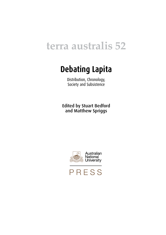## **terra australis 52**

### **Debating Lapita**

Distribution, Chronology, Society and Subsistence

Edited by Stuart Bedford and Matthew Spriggs



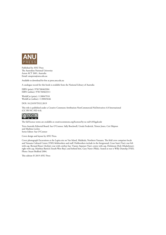

Published by ANU Press The Australian National University Acton ACT 2601, Australia Email: anupress@anu.edu.au

Available to download for free at press.anu.edu.au

A catalogue record for this book is available from the National Library of Australia

ISBN (print): 9781760463304 ISBN (online): 9781760463311

WorldCat (print): 1130047910 WorldCat (online): 1130045646

DOI: 10.22459/TA52.2019

This title is published under a Creative Commons Attribution-NonCommercial-NoDerivatives 4.0 International (CC BY-NC-ND 4.0).



The full licence terms are available at [creativecommons.org/licenses/by-nc-nd/4.0/legalcode](http://creativecommons.org/licenses/by-nc-nd/4.0/legalcode)

Terra Australis Editorial Board: Sue O'Connor, Sally Brockwell, Ursula Frederick, Tristen Jones, Ceri Shipton and Mathieu Leclerc Series Editor: Sue O'Connor

Cover design and layout by ANU Press.

Cover photograph Excavations at the Lapita site on Vao Island, Malakula, Northern Vanuatu. The field crew comprises locals and Vanuatu Cultural Centre (VKS) fieldworkers and staff. Fieldworkers include in the foreground, Cesar Sami (Vao); rear left with cap, Bernard Roser (Atchin); rear with cowboy hat, Vianny Atpatun (Vao); centre with cap, Dickinson Dick (Maskelynes); right with cap, Matthias Battick (South-West Bay); and behind him, Gary Naror (Wala). Seated at rear is Willy Damelip (VKS). Photo: Stuart Bedford 2004.

This edition © 2019 ANU Press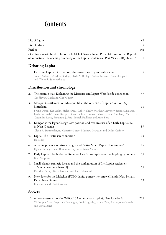#### **Contents**

|         | List of figures                                                                                                                                                                                                                                                                                                                                     | vii  |  |  |  |
|---------|-----------------------------------------------------------------------------------------------------------------------------------------------------------------------------------------------------------------------------------------------------------------------------------------------------------------------------------------------------|------|--|--|--|
|         | List of tables                                                                                                                                                                                                                                                                                                                                      | xiii |  |  |  |
| Preface |                                                                                                                                                                                                                                                                                                                                                     | xvii |  |  |  |
|         | Opening remarks by the Honourable Meltek Sato Kilman, Prime Minister of the Republic<br>of Vanuatu at the opening ceremony of the Lapita Conference, Port Vila, 6–10 July 2015                                                                                                                                                                      |      |  |  |  |
|         | <b>Debating Lapita</b>                                                                                                                                                                                                                                                                                                                              |      |  |  |  |
| 1.      | Debating Lapita: Distribution, chronology, society and subsistence<br>Stuart Bedford, Matthew Spriggs, David V. Burley, Christophe Sand, Peter Sheppard<br>and Glenn R. Summerhayes                                                                                                                                                                 | 5    |  |  |  |
|         | <b>Distribution and chronology</b>                                                                                                                                                                                                                                                                                                                  |      |  |  |  |
| 2.      | The ceramic trail: Evaluating the Marianas and Lapita West Pacific connection<br>Geoffrey R. Clark and Olaf Winter                                                                                                                                                                                                                                  | 37   |  |  |  |
| 3.      | Moiapu 3: Settlement on Moiapu Hill at the very end of Lapita, Caution Bay<br>hinterland<br>Bruno David, Ken Aplin, Helene Peck, Robert Skelly, Matthew Leavesley, Jerome Mialanes,<br>Katherine Szabó, Brent Koppel, Fiona Petchey, Thomas Richards, Sean Ulm, Ian J. McNiven,<br>Cassandra Rowe, Samantha J. Aird, Patrick Faulkner and Anne Ford | 61   |  |  |  |
| 4.      | Kamgot at the lagoon's edge: Site position and resource use of an Early Lapita site<br>in Near Oceania<br>Glenn R. Summerhayes, Katherine Szabó, Matthew Leavesley and Dylan Gaffney                                                                                                                                                                | 89   |  |  |  |
| 5.      | Lapita: The Australian connection<br>Ian Lilley                                                                                                                                                                                                                                                                                                     | 105  |  |  |  |
| 6.      | A Lapita presence on Arop/Long Island, Vitiaz Strait, Papua New Guinea?<br>Dylan Gaffney, Glenn R. Summerhayes and Mary Mennis                                                                                                                                                                                                                      | 115  |  |  |  |
| 7.      | Early Lapita colonisation of Remote Oceania: An update on the leapfrog hypothesis<br>Peter Sheppard                                                                                                                                                                                                                                                 | 135  |  |  |  |
| 8.      | Small islands, strategic locales and the configuration of first Lapita settlement<br>of Vanua Levu, northern Fiji<br>David V. Burley, Travis Freeland and Jone Balenaivalu                                                                                                                                                                          | 155  |  |  |  |
| 9.      | New dates for the Makekur (FOH) Lapita pottery site, Arawe Islands, New Britain,<br>Papua New Guinea<br>Jim Specht and Chris Gosden                                                                                                                                                                                                                 | 169  |  |  |  |
| Society |                                                                                                                                                                                                                                                                                                                                                     |      |  |  |  |

| 10. A new assessment of site WKO013A of Xapeta'a (Lapita), New Caledonia             | 205 |
|--------------------------------------------------------------------------------------|-----|
| Christophe Sand, Stéphanie Domergue, Louis Lagarde, Jacques Bole, André-John Ouetcho |     |
| and David Baret                                                                      |     |